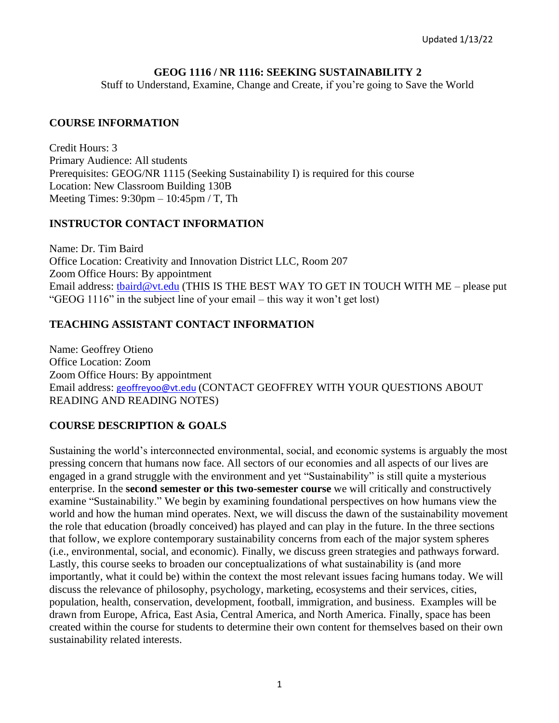### **GEOG 1116 / NR 1116: SEEKING SUSTAINABILITY 2**

Stuff to Understand, Examine, Change and Create, if you're going to Save the World

### **COURSE INFORMATION**

Credit Hours: 3 Primary Audience: All students Prerequisites: GEOG/NR 1115 (Seeking Sustainability I) is required for this course Location: New Classroom Building 130B Meeting Times: 9:30pm – 10:45pm / T, Th

## **INSTRUCTOR CONTACT INFORMATION**

Name: Dr. Tim Baird Office Location: Creativity and Innovation District LLC, Room 207 Zoom Office Hours: By appointment Email address: [tbaird@vt.edu](mailto:tbaird@vt.edu) (THIS IS THE BEST WAY TO GET IN TOUCH WITH ME – please put "GEOG 1116" in the subject line of your email – this way it won't get lost)

## **TEACHING ASSISTANT CONTACT INFORMATION**

Name: Geoffrey Otieno Office Location: Zoom Zoom Office Hours: By appointment Email address: [geoffreyoo@vt.edu](mailto:geoffreyoo@vt.edu) (CONTACT GEOFFREY WITH YOUR QUESTIONS ABOUT READING AND READING NOTES)

## **COURSE DESCRIPTION & GOALS**

Sustaining the world's interconnected environmental, social, and economic systems is arguably the most pressing concern that humans now face. All sectors of our economies and all aspects of our lives are engaged in a grand struggle with the environment and yet "Sustainability" is still quite a mysterious enterprise. In the **second semester or this two-semester course** we will critically and constructively examine "Sustainability." We begin by examining foundational perspectives on how humans view the world and how the human mind operates. Next, we will discuss the dawn of the sustainability movement the role that education (broadly conceived) has played and can play in the future. In the three sections that follow, we explore contemporary sustainability concerns from each of the major system spheres (i.e., environmental, social, and economic). Finally, we discuss green strategies and pathways forward. Lastly, this course seeks to broaden our conceptualizations of what sustainability is (and more importantly, what it could be) within the context the most relevant issues facing humans today. We will discuss the relevance of philosophy, psychology, marketing, ecosystems and their services, cities, population, health, conservation, development, football, immigration, and business. Examples will be drawn from Europe, Africa, East Asia, Central America, and North America. Finally, space has been created within the course for students to determine their own content for themselves based on their own sustainability related interests.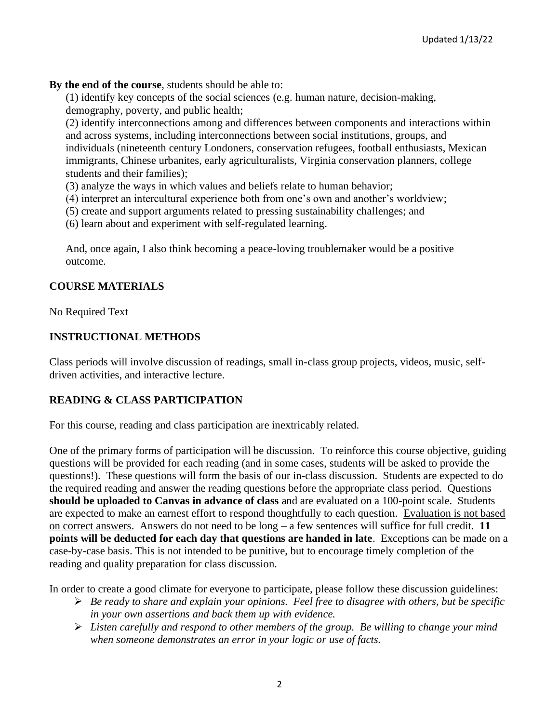### **By the end of the course**, students should be able to:

(1) identify key concepts of the social sciences (e.g. human nature, decision-making, demography, poverty, and public health;

(2) identify interconnections among and differences between components and interactions within and across systems, including interconnections between social institutions, groups, and individuals (nineteenth century Londoners, conservation refugees, football enthusiasts, Mexican immigrants, Chinese urbanites, early agriculturalists, Virginia conservation planners, college students and their families);

- (3) analyze the ways in which values and beliefs relate to human behavior;
- (4) interpret an intercultural experience both from one's own and another's worldview;
- (5) create and support arguments related to pressing sustainability challenges; and
- (6) learn about and experiment with self-regulated learning.

And, once again, I also think becoming a peace-loving troublemaker would be a positive outcome.

### **COURSE MATERIALS**

No Required Text

### **INSTRUCTIONAL METHODS**

Class periods will involve discussion of readings, small in-class group projects, videos, music, selfdriven activities, and interactive lecture.

#### **READING & CLASS PARTICIPATION**

For this course, reading and class participation are inextricably related.

One of the primary forms of participation will be discussion. To reinforce this course objective, guiding questions will be provided for each reading (and in some cases, students will be asked to provide the questions!). These questions will form the basis of our in-class discussion. Students are expected to do the required reading and answer the reading questions before the appropriate class period. Questions **should be uploaded to Canvas in advance of class** and are evaluated on a 100-point scale. Students are expected to make an earnest effort to respond thoughtfully to each question. Evaluation is not based on correct answers. Answers do not need to be long – a few sentences will suffice for full credit. **11 points will be deducted for each day that questions are handed in late**. Exceptions can be made on a case-by-case basis. This is not intended to be punitive, but to encourage timely completion of the reading and quality preparation for class discussion.

In order to create a good climate for everyone to participate, please follow these discussion guidelines:

- ➢ *Be ready to share and explain your opinions. Feel free to disagree with others, but be specific in your own assertions and back them up with evidence.*
- ➢ *Listen carefully and respond to other members of the group. Be willing to change your mind when someone demonstrates an error in your logic or use of facts.*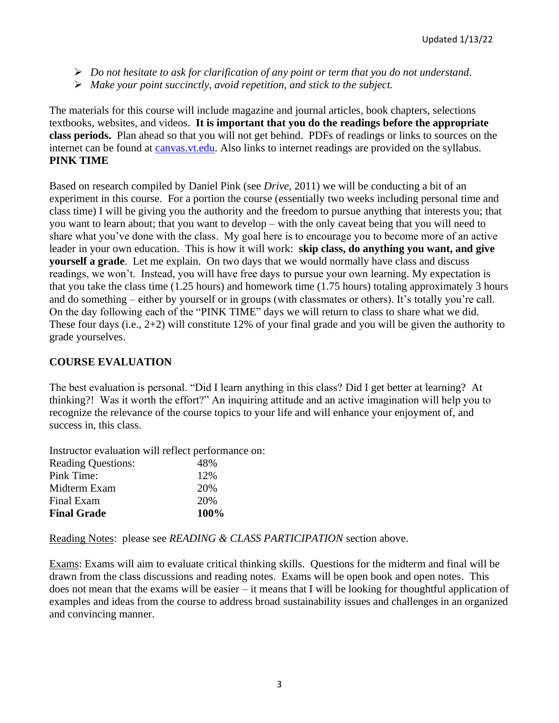- ➢ *Do not hesitate to ask for clarification of any point or term that you do not understand.*
- ➢ *Make your point succinctly, avoid repetition, and stick to the subject.*

The materials for this course will include magazine and journal articles, book chapters, selections textbooks, websites, and videos. **It is important that you do the readings before the appropriate class periods.** Plan ahead so that you will not get behind. PDFs of readings or links to sources on the internet can be found at [canvas.vt.edu.](http://canvas.vt.edu/) Also links to internet readings are provided on the syllabus. **PINK TIME**

Based on research compiled by Daniel Pink (see *Drive*, 2011) we will be conducting a bit of an experiment in this course. For a portion the course (essentially two weeks including personal time and class time) I will be giving you the authority and the freedom to pursue anything that interests you; that you want to learn about; that you want to develop – with the only caveat being that you will need to share what you've done with the class. My goal here is to encourage you to become more of an active leader in your own education. This is how it will work: **skip class, do anything you want, and give yourself a grade**. Let me explain. On two days that we would normally have class and discuss readings, we won't. Instead, you will have free days to pursue your own learning. My expectation is that you take the class time (1.25 hours) and homework time (1.75 hours) totaling approximately 3 hours and do something – either by yourself or in groups (with classmates or others). It's totally you're call. On the day following each of the "PINK TIME" days we will return to class to share what we did. These four days (i.e., 2+2) will constitute 12% of your final grade and you will be given the authority to grade yourselves.

## **COURSE EVALUATION**

The best evaluation is personal. "Did I learn anything in this class? Did I get better at learning? At thinking?! Was it worth the effort?" An inquiring attitude and an active imagination will help you to recognize the relevance of the course topics to your life and will enhance your enjoyment of, and success in, this class.

Instructor evaluation will reflect performance on:

| <b>Reading Questions:</b> | 48%  |
|---------------------------|------|
| Pink Time:                | 12%  |
| Midterm Exam              | 20%  |
| Final Exam                | 20%  |
| <b>Final Grade</b>        | 100% |

Reading Notes: please see *READING & CLASS PARTICIPATION* section above.

Exams: Exams will aim to evaluate critical thinking skills. Questions for the midterm and final will be drawn from the class discussions and reading notes. Exams will be open book and open notes. This does not mean that the exams will be easier – it means that I will be looking for thoughtful application of examples and ideas from the course to address broad sustainability issues and challenges in an organized and convincing manner.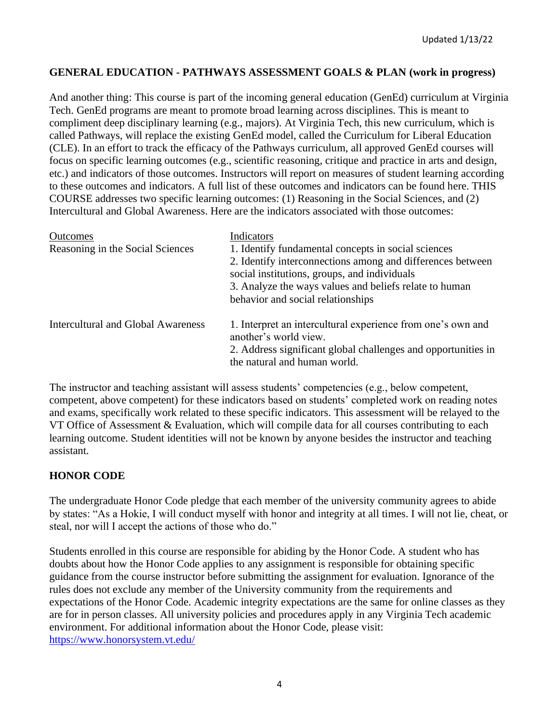### **GENERAL EDUCATION - PATHWAYS ASSESSMENT GOALS & PLAN (work in progress)**

And another thing: This course is part of the incoming general education (GenEd) curriculum at Virginia Tech. GenEd programs are meant to promote broad learning across disciplines. This is meant to compliment deep disciplinary learning (e.g., majors). At Virginia Tech, this new curriculum, which is called Pathways, will replace the existing GenEd model, called the Curriculum for Liberal Education (CLE). In an effort to track the efficacy of the Pathways curriculum, all approved GenEd courses will focus on specific learning outcomes (e.g., scientific reasoning, critique and practice in arts and design, etc.) and indicators of those outcomes. Instructors will report on measures of student learning according to these outcomes and indicators. A full list of these outcomes and indicators can be found here. THIS COURSE addresses two specific learning outcomes: (1) Reasoning in the Social Sciences, and (2) Intercultural and Global Awareness. Here are the indicators associated with those outcomes:

| <b>Outcomes</b><br>Reasoning in the Social Sciences | Indicators<br>1. Identify fundamental concepts in social sciences<br>2. Identify interconnections among and differences between<br>social institutions, groups, and individuals<br>3. Analyze the ways values and beliefs relate to human<br>behavior and social relationships |
|-----------------------------------------------------|--------------------------------------------------------------------------------------------------------------------------------------------------------------------------------------------------------------------------------------------------------------------------------|
| Intercultural and Global Awareness                  | 1. Interpret an intercultural experience from one's own and<br>another's world view.<br>2. Address significant global challenges and opportunities in<br>the natural and human world.                                                                                          |

The instructor and teaching assistant will assess students' competencies (e.g., below competent, competent, above competent) for these indicators based on students' completed work on reading notes and exams, specifically work related to these specific indicators. This assessment will be relayed to the VT Office of Assessment & Evaluation, which will compile data for all courses contributing to each learning outcome. Student identities will not be known by anyone besides the instructor and teaching assistant.

#### **HONOR CODE**

The undergraduate Honor Code pledge that each member of the university community agrees to abide by states: "As a Hokie, I will conduct myself with honor and integrity at all times. I will not lie, cheat, or steal, nor will I accept the actions of those who do."

Students enrolled in this course are responsible for abiding by the Honor Code. A student who has doubts about how the Honor Code applies to any assignment is responsible for obtaining specific guidance from the course instructor before submitting the assignment for evaluation. Ignorance of the rules does not exclude any member of the University community from the requirements and expectations of the Honor Code. Academic integrity expectations are the same for online classes as they are for in person classes. All university policies and procedures apply in any Virginia Tech academic environment. For additional information about the Honor Code, please visit: <https://www.honorsystem.vt.edu/>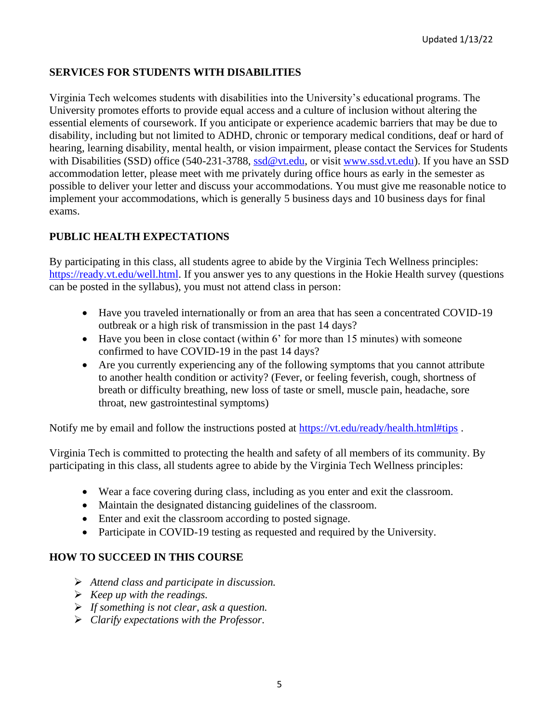# **SERVICES FOR STUDENTS WITH DISABILITIES**

Virginia Tech welcomes students with disabilities into the University's educational programs. The University promotes efforts to provide equal access and a culture of inclusion without altering the essential elements of coursework. If you anticipate or experience academic barriers that may be due to disability, including but not limited to ADHD, chronic or temporary medical conditions, deaf or hard of hearing, learning disability, mental health, or vision impairment, please contact the Services for Students with Disabilities (SSD) office (540-231-3788, [ssd@vt.edu,](mailto:ssd@vt.edu) or visit [www.ssd.vt.edu\)](http://www.ssd.vt.edu/). If you have an SSD accommodation letter, please meet with me privately during office hours as early in the semester as possible to deliver your letter and discuss your accommodations. You must give me reasonable notice to implement your accommodations, which is generally 5 business days and 10 business days for final exams.

# **PUBLIC HEALTH EXPECTATIONS**

By participating in this class, all students agree to abide by the Virginia Tech Wellness principles: [https://ready.vt.edu/well.html.](https://ready.vt.edu/well.html) If you answer yes to any questions in the Hokie Health survey (questions can be posted in the syllabus), you must not attend class in person:

- Have you traveled internationally or from an area that has seen a concentrated COVID-19 outbreak or a high risk of transmission in the past 14 days?
- Have you been in close contact (within 6' for more than 15 minutes) with someone confirmed to have COVID-19 in the past 14 days?
- Are you currently experiencing any of the following symptoms that you cannot attribute to another health condition or activity? (Fever, or feeling feverish, cough, shortness of breath or difficulty breathing, new loss of taste or smell, muscle pain, headache, sore throat, new gastrointestinal symptoms)

Notify me by email and follow the instructions posted at<https://vt.edu/ready/health.html#tips> .

Virginia Tech is committed to protecting the health and safety of all members of its community. By participating in this class, all students agree to abide by the Virginia Tech Wellness principles:

- Wear a face covering during class, including as you enter and exit the classroom.
- Maintain the designated distancing guidelines of the classroom.
- Enter and exit the classroom according to posted signage.
- Participate in COVID-19 testing as requested and required by the University.

## **HOW TO SUCCEED IN THIS COURSE**

- ➢ *Attend class and participate in discussion.*
- ➢ *Keep up with the readings.*
- ➢ *If something is not clear, ask a question.*
- ➢ *Clarify expectations with the Professor.*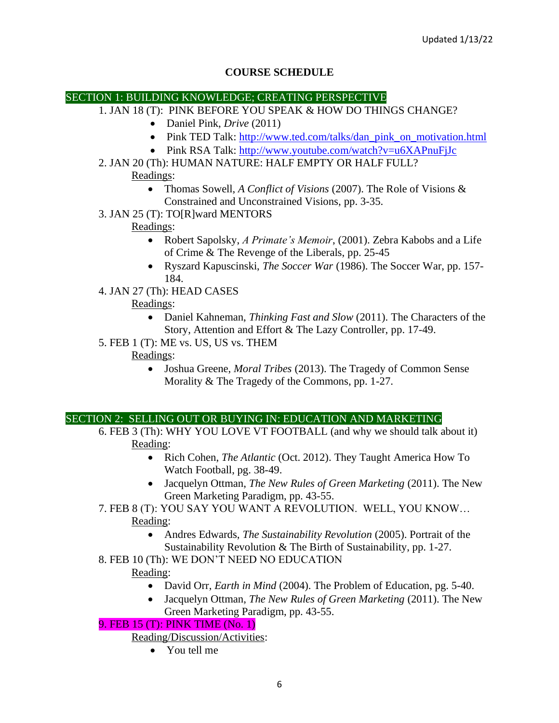# **COURSE SCHEDULE**

#### SECTION 1: BUILDING KNOWLEDGE; CREATING PERSPECTIVE

- 1. JAN 18 (T): PINK BEFORE YOU SPEAK & HOW DO THINGS CHANGE?
	- Daniel Pink, *Drive* (2011)
	- Pink TED Talk: [http://www.ted.com/talks/dan\\_pink\\_on\\_motivation.html](http://www.ted.com/talks/dan_pink_on_motivation.html)
	- Pink RSA Talk: <http://www.youtube.com/watch?v=u6XAPnuFjJc>
- 2. JAN 20 (Th): HUMAN NATURE: HALF EMPTY OR HALF FULL?

Readings:

- Thomas Sowell, *A Conflict of Visions* (2007). The Role of Visions & Constrained and Unconstrained Visions, pp. 3-35.
- 3. JAN 25 (T): TO[R]ward MENTORS

# Readings:

- Robert Sapolsky, *A Primate's Memoir*, (2001). Zebra Kabobs and a Life of Crime & The Revenge of the Liberals, pp. 25-45
- Ryszard Kapuscinski, *The Soccer War* (1986). The Soccer War, pp. 157- 184.
- 4. JAN 27 (Th): HEAD CASES

# Readings:

- Daniel Kahneman, *Thinking Fast and Slow* (2011). The Characters of the Story, Attention and Effort & The Lazy Controller, pp. 17-49.
- 5. FEB 1 (T): ME vs. US, US vs. THEM

Readings:

• Joshua Greene, *Moral Tribes* (2013). The Tragedy of Common Sense Morality & The Tragedy of the Commons, pp. 1-27.

## SECTION 2: SELLING OUT OR BUYING IN: EDUCATION AND MARKETING

- 6. FEB 3 (Th): WHY YOU LOVE VT FOOTBALL (and why we should talk about it) Reading:
	- Rich Cohen, *The Atlantic* (Oct. 2012). They Taught America How To Watch Football, pg. 38-49.
	- Jacquelyn Ottman, *The New Rules of Green Marketing* (2011). The New Green Marketing Paradigm, pp. 43-55.
- 7. FEB 8 (T): YOU SAY YOU WANT A REVOLUTION. WELL, YOU KNOW… Reading:
	- Andres Edwards, *The Sustainability Revolution* (2005). Portrait of the Sustainability Revolution & The Birth of Sustainability, pp. 1-27.
- 8. FEB 10 (Th): WE DON'T NEED NO EDUCATION

## Reading:

- David Orr, *Earth in Mind* (2004). The Problem of Education, pg. 5-40.
- Jacquelyn Ottman, *The New Rules of Green Marketing* (2011). The New Green Marketing Paradigm, pp. 43-55.

# 9. FEB 15 (T): PINK TIME (No. 1)

Reading/Discussion/Activities:

• You tell me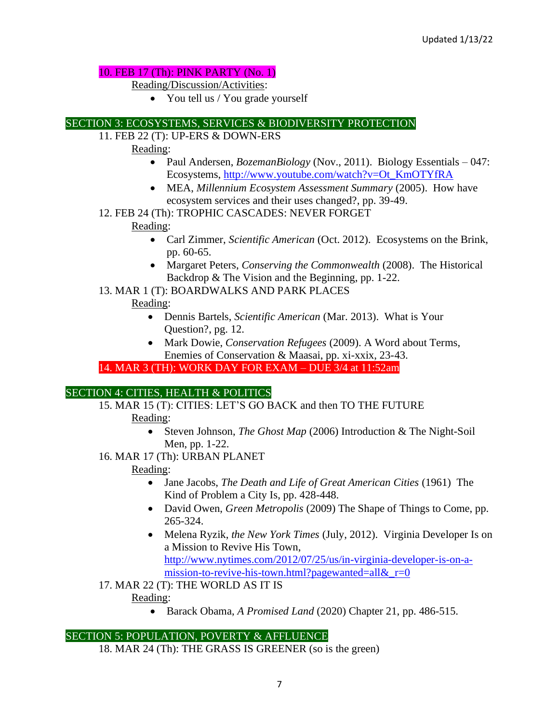### 10. FEB 17 (Th): PINK PARTY (No. 1)

Reading/Discussion/Activities:

• You tell us / You grade yourself

### SECTION 3: ECOSYSTEMS, SERVICES & BIODIVERSITY PROTECTION

11. FEB 22 (T): UP-ERS & DOWN-ERS

Reading:

- Paul Andersen, *BozemanBiology* (Nov., 2011). Biology Essentials 047: Ecosystems, [http://www.youtube.com/watch?v=Ot\\_KmOTYfRA](http://www.youtube.com/watch?v=Ot_KmOTYfRA)
- MEA, *Millennium Ecosystem Assessment Summary* (2005). How have ecosystem services and their uses changed?, pp. 39-49.
- 12. FEB 24 (Th): TROPHIC CASCADES: NEVER FORGET

### Reading:

- Carl Zimmer, *Scientific American* (Oct. 2012). Ecosystems on the Brink, pp. 60-65.
- Margaret Peters, *Conserving the Commonwealth* (2008). The Historical Backdrop & The Vision and the Beginning, pp. 1-22.
- 13. MAR 1 (T): BOARDWALKS AND PARK PLACES

### Reading:

- Dennis Bartels, *Scientific American* (Mar. 2013). What is Your Question?, pg. 12.
- Mark Dowie, *Conservation Refugees* (2009). A Word about Terms, Enemies of Conservation & Maasai, pp. xi-xxix, 23-43.

## 14. MAR 3 (TH): WORK DAY FOR EXAM – DUE 3/4 at 11:52am

## SECTION 4: CITIES, HEALTH & POLITICS

15. MAR 15 (T): CITIES: LET'S GO BACK and then TO THE FUTURE

Reading:

- Steven Johnson, *The Ghost Map* (2006) Introduction & The Night-Soil Men, pp. 1-22.
- 16. MAR 17 (Th): URBAN PLANET

## Reading:

- Jane Jacobs, *The Death and Life of Great American Cities* (1961) The Kind of Problem a City Is, pp. 428-448.
- David Owen, *Green Metropolis* (2009) The Shape of Things to Come, pp. 265-324.
- Melena Ryzik, *the New York Times* (July, 2012). Virginia Developer Is on a Mission to Revive His Town, [http://www.nytimes.com/2012/07/25/us/in-virginia-developer-is-on-a-](http://www.nytimes.com/2012/07/25/us/in-virginia-developer-is-on-a-mission-to-revive-his-town.html?pagewanted=all&_r=0)

[mission-to-revive-his-town.html?pagewanted=all&\\_r=0](http://www.nytimes.com/2012/07/25/us/in-virginia-developer-is-on-a-mission-to-revive-his-town.html?pagewanted=all&_r=0)

17. MAR 22 (T): THE WORLD AS IT IS

Reading:

• Barack Obama, *A Promised Land* (2020) Chapter 21, pp. 486-515.

## SECTION 5: POPULATION, POVERTY & AFFLUENCE

18. MAR 24 (Th): THE GRASS IS GREENER (so is the green)